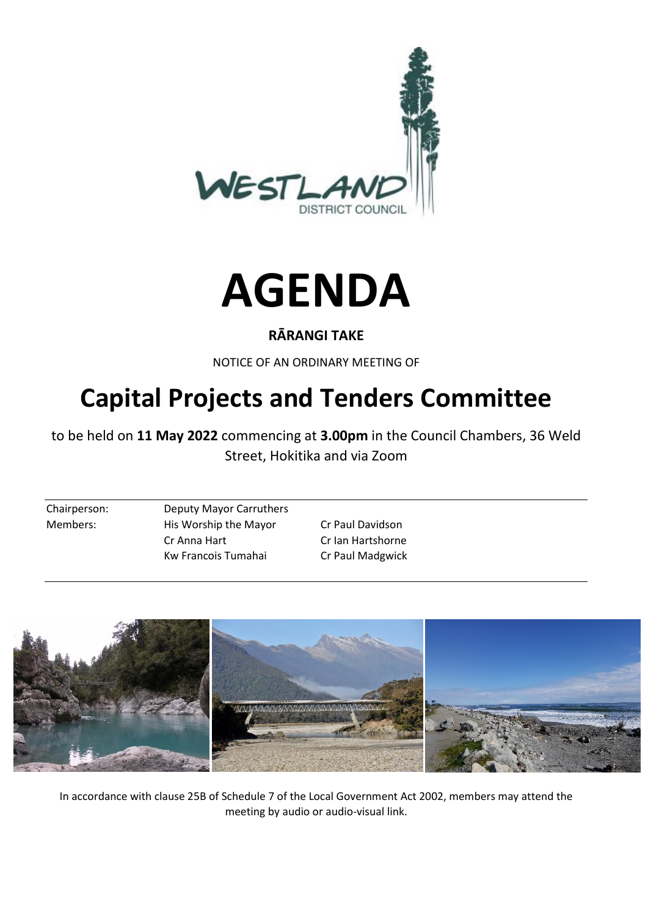



#### **RĀRANGI TAKE**

NOTICE OF AN ORDINARY MEETING OF

# **Capital Projects and Tenders Committee**

to be held on **11 May 2022** commencing at **3.00pm** in the Council Chambers, 36 Weld Street, Hokitika and via Zoom

Chairperson: Deputy Mayor Carruthers Members: His Worship the Mayor Cr Paul Davidson Cr Anna Hart Cr Ian Hartshorne Kw Francois Tumahai Cr Paul Madgwick



In accordance with clause 25B of Schedule 7 of the Local Government Act 2002, members may attend the meeting by audio or audio-visual link.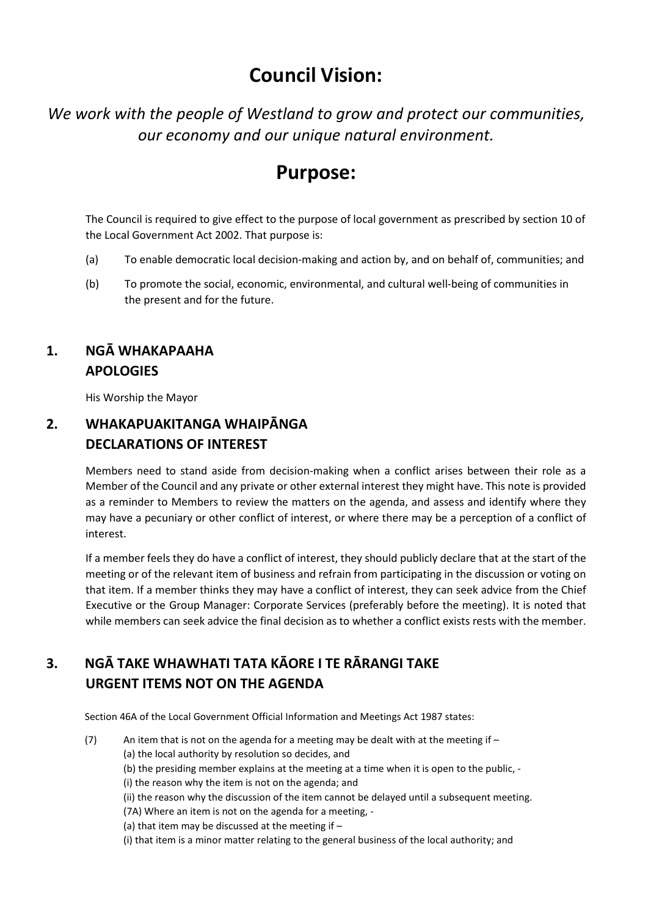# **Council Vision:**

*We work with the people of Westland to grow and protect our communities, our economy and our unique natural environment.* 

## **Purpose:**

The Council is required to give effect to the purpose of local government as prescribed by section 10 of the Local Government Act 2002. That purpose is:

- (a) To enable democratic local decision-making and action by, and on behalf of, communities; and
- (b) To promote the social, economic, environmental, and cultural well-being of communities in the present and for the future.

## **1. NGĀ WHAKAPAAHA APOLOGIES**

His Worship the Mayor

#### **2. WHAKAPUAKITANGA WHAIPĀNGA DECLARATIONS OF INTEREST**

Members need to stand aside from decision-making when a conflict arises between their role as a Member of the Council and any private or other external interest they might have. This note is provided as a reminder to Members to review the matters on the agenda, and assess and identify where they may have a pecuniary or other conflict of interest, or where there may be a perception of a conflict of interest.

If a member feels they do have a conflict of interest, they should publicly declare that at the start of the meeting or of the relevant item of business and refrain from participating in the discussion or voting on that item. If a member thinks they may have a conflict of interest, they can seek advice from the Chief Executive or the Group Manager: Corporate Services (preferably before the meeting). It is noted that while members can seek advice the final decision as to whether a conflict exists rests with the member.

## **3. NGĀ TAKE WHAWHATI TATA KĀORE I TE RĀRANGI TAKE URGENT ITEMS NOT ON THE AGENDA**

Section 46A of the Local Government Official Information and Meetings Act 1987 states:

- (7) An item that is not on the agenda for a meeting may be dealt with at the meeting if  $-$ (a) the local authority by resolution so decides, and
	- (b) the presiding member explains at the meeting at a time when it is open to the public, -
	- (i) the reason why the item is not on the agenda; and
	- (ii) the reason why the discussion of the item cannot be delayed until a subsequent meeting.
	- (7A) Where an item is not on the agenda for a meeting, -
	- (a) that item may be discussed at the meeting if –
	- (i) that item is a minor matter relating to the general business of the local authority; and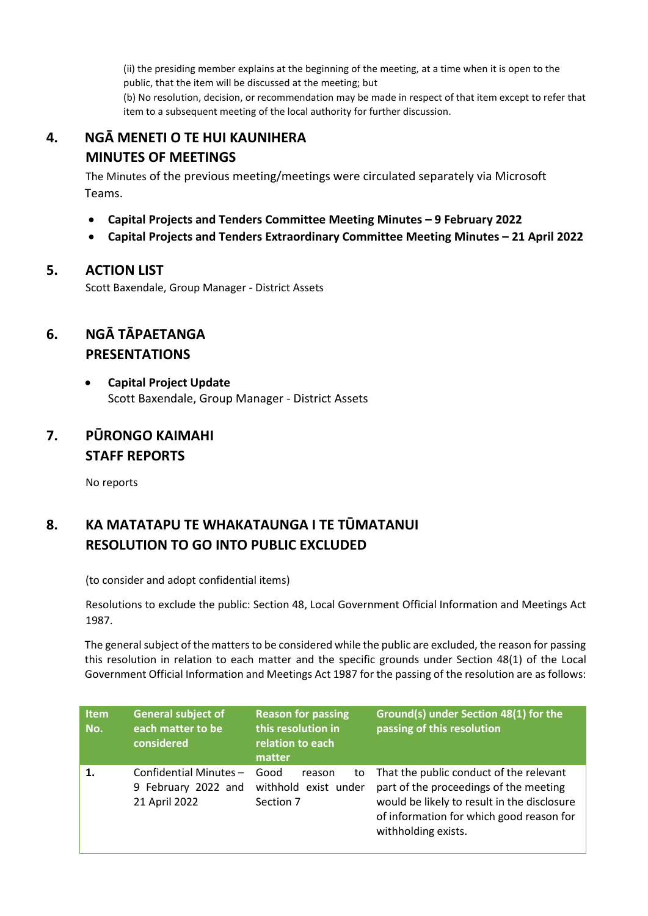(ii) the presiding member explains at the beginning of the meeting, at a time when it is open to the public, that the item will be discussed at the meeting; but

(b) No resolution, decision, or recommendation may be made in respect of that item except to refer that item to a subsequent meeting of the local authority for further discussion.

## **4. NGĀ MENETI O TE HUI KAUNIHERA MINUTES OF MEETINGS**

 The Minutes of the previous meeting/meetings were circulated separately via Microsoft Teams.

- **Capital Projects and Tenders Committee Meeting Minutes 9 February 2022**
- **Capital Projects and Tenders Extraordinary Committee Meeting Minutes 21 April 2022**

#### **5. ACTION LIST**

Scott Baxendale, Group Manager - District Assets

#### **6. NGĀ TĀPAETANGA PRESENTATIONS**

 **Capital Project Update**  Scott Baxendale, Group Manager - District Assets

#### **7. PŪRONGO KAIMAHI STAFF REPORTS**

No reports

## **8. KA MATATAPU TE WHAKATAUNGA I TE TŪMATANUI RESOLUTION TO GO INTO PUBLIC EXCLUDED**

(to consider and adopt confidential items)

Resolutions to exclude the public: Section 48, Local Government Official Information and Meetings Act 1987.

The general subject of the matters to be considered while the public are excluded, the reason for passing this resolution in relation to each matter and the specific grounds under Section 48(1) of the Local Government Official Information and Meetings Act 1987 for the passing of the resolution are as follows:

| <b>Item</b><br>No. | <b>General subject of</b><br>each matter to be<br>considered  | <b>Reason for passing</b><br>this resolution in<br>relation to each<br>matter | Ground(s) under Section 48(1) for the<br>passing of this resolution                                                                                                                                 |  |
|--------------------|---------------------------------------------------------------|-------------------------------------------------------------------------------|-----------------------------------------------------------------------------------------------------------------------------------------------------------------------------------------------------|--|
| 1.                 | Confidential Minutes-<br>9 February 2022 and<br>21 April 2022 | Good<br>reason<br>to<br>withhold exist under<br>Section 7                     | That the public conduct of the relevant<br>part of the proceedings of the meeting<br>would be likely to result in the disclosure<br>of information for which good reason for<br>withholding exists. |  |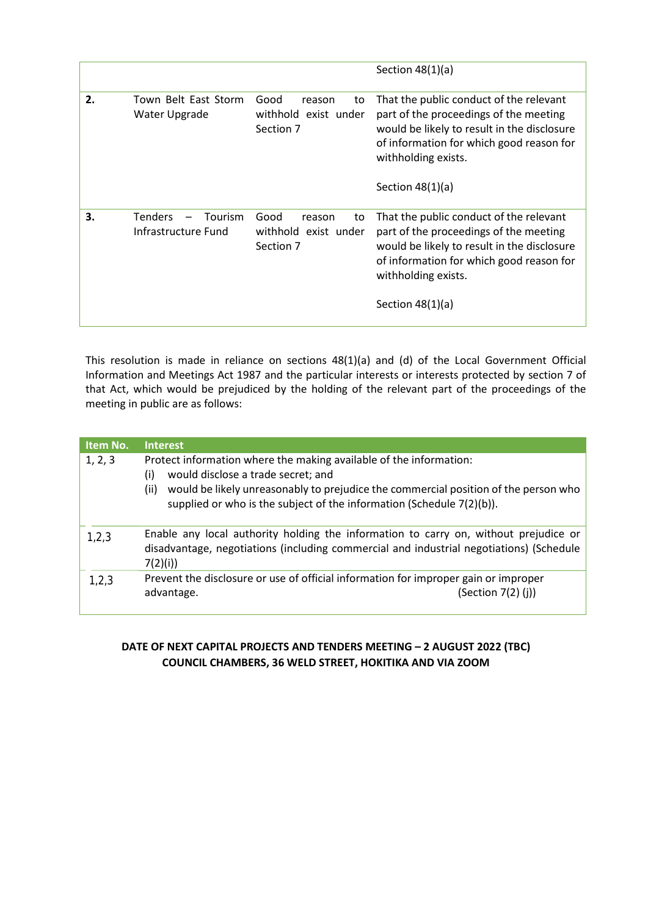|    |                                                         |                                                           | Section $48(1)(a)$                                                                                                                                                                                                        |
|----|---------------------------------------------------------|-----------------------------------------------------------|---------------------------------------------------------------------------------------------------------------------------------------------------------------------------------------------------------------------------|
| 2. | Town Belt East Storm<br>Water Upgrade                   | Good<br>reason<br>to<br>withhold exist under<br>Section 7 | That the public conduct of the relevant<br>part of the proceedings of the meeting<br>would be likely to result in the disclosure<br>of information for which good reason for<br>withholding exists.<br>Section $48(1)(a)$ |
| 3. | <b>Tenders</b><br><b>Tourism</b><br>Infrastructure Fund | Good<br>reason<br>to<br>withhold exist under<br>Section 7 | That the public conduct of the relevant<br>part of the proceedings of the meeting<br>would be likely to result in the disclosure<br>of information for which good reason for<br>withholding exists.<br>Section $48(1)(a)$ |

This resolution is made in reliance on sections 48(1)(a) and (d) of the Local Government Official Information and Meetings Act 1987 and the particular interests or interests protected by section 7 of that Act, which would be prejudiced by the holding of the relevant part of the proceedings of the meeting in public are as follows:

| Item No. | <b>Interest</b>                                                                                                                                                                                                                                                                         |  |  |  |
|----------|-----------------------------------------------------------------------------------------------------------------------------------------------------------------------------------------------------------------------------------------------------------------------------------------|--|--|--|
| 1, 2, 3  | Protect information where the making available of the information:<br>would disclose a trade secret; and<br>(i)<br>would be likely unreasonably to prejudice the commercial position of the person who<br>(ii)<br>supplied or who is the subject of the information (Schedule 7(2)(b)). |  |  |  |
| 1,2,3    | Enable any local authority holding the information to carry on, without prejudice or<br>disadvantage, negotiations (including commercial and industrial negotiations) (Schedule<br>7(2)(i)                                                                                              |  |  |  |
| 1,2,3    | Prevent the disclosure or use of official information for improper gain or improper<br>(Section $7(2)$ (j))<br>advantage.                                                                                                                                                               |  |  |  |

#### **DATE OF NEXT CAPITAL PROJECTS AND TENDERS MEETING – 2 AUGUST 2022 (TBC) COUNCIL CHAMBERS, 36 WELD STREET, HOKITIKA AND VIA ZOOM**